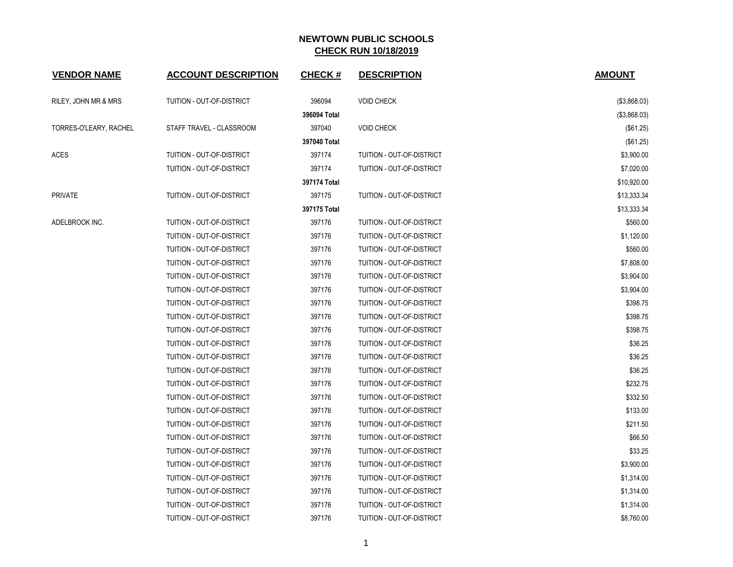| <b>VENDOR NAME</b>     | <b>ACCOUNT DESCRIPTION</b> | <b>CHECK#</b> | <b>DESCRIPTION</b>        | <b>AMOUNT</b> |
|------------------------|----------------------------|---------------|---------------------------|---------------|
| RILEY, JOHN MR & MRS   | TUITION - OUT-OF-DISTRICT  | 396094        | <b>VOID CHECK</b>         | (\$3,868.03)  |
|                        |                            | 396094 Total  |                           | (\$3,868.03)  |
| TORRES-O'LEARY, RACHEL | STAFF TRAVEL - CLASSROOM   | 397040        | <b>VOID CHECK</b>         | (\$61.25)     |
|                        |                            | 397040 Total  |                           | (\$61.25)     |
| ACES                   | TUITION - OUT-OF-DISTRICT  | 397174        | TUITION - OUT-OF-DISTRICT | \$3,900.00    |
|                        | TUITION - OUT-OF-DISTRICT  | 397174        | TUITION - OUT-OF-DISTRICT | \$7,020.00    |
|                        |                            | 397174 Total  |                           | \$10,920.00   |
| PRIVATE                | TUITION - OUT-OF-DISTRICT  | 397175        | TUITION - OUT-OF-DISTRICT | \$13,333.34   |
|                        |                            | 397175 Total  |                           | \$13,333.34   |
| ADELBROOK INC.         | TUITION - OUT-OF-DISTRICT  | 397176        | TUITION - OUT-OF-DISTRICT | \$560.00      |
|                        | TUITION - OUT-OF-DISTRICT  | 397176        | TUITION - OUT-OF-DISTRICT | \$1,120.00    |
|                        | TUITION - OUT-OF-DISTRICT  | 397176        | TUITION - OUT-OF-DISTRICT | \$560.00      |
|                        | TUITION - OUT-OF-DISTRICT  | 397176        | TUITION - OUT-OF-DISTRICT | \$7,808.00    |
|                        | TUITION - OUT-OF-DISTRICT  | 397176        | TUITION - OUT-OF-DISTRICT | \$3,904.00    |
|                        | TUITION - OUT-OF-DISTRICT  | 397176        | TUITION - OUT-OF-DISTRICT | \$3,904.00    |
|                        | TUITION - OUT-OF-DISTRICT  | 397176        | TUITION - OUT-OF-DISTRICT | \$398.75      |
|                        | TUITION - OUT-OF-DISTRICT  | 397176        | TUITION - OUT-OF-DISTRICT | \$398.75      |
|                        | TUITION - OUT-OF-DISTRICT  | 397176        | TUITION - OUT-OF-DISTRICT | \$398.75      |
|                        | TUITION - OUT-OF-DISTRICT  | 397176        | TUITION - OUT-OF-DISTRICT | \$36.25       |
|                        | TUITION - OUT-OF-DISTRICT  | 397176        | TUITION - OUT-OF-DISTRICT | \$36.25       |
|                        | TUITION - OUT-OF-DISTRICT  | 397176        | TUITION - OUT-OF-DISTRICT | \$36.25       |
|                        | TUITION - OUT-OF-DISTRICT  | 397176        | TUITION - OUT-OF-DISTRICT | \$232.75      |
|                        | TUITION - OUT-OF-DISTRICT  | 397176        | TUITION - OUT-OF-DISTRICT | \$332.50      |
|                        | TUITION - OUT-OF-DISTRICT  | 397176        | TUITION - OUT-OF-DISTRICT | \$133.00      |
|                        | TUITION - OUT-OF-DISTRICT  | 397176        | TUITION - OUT-OF-DISTRICT | \$211.50      |
|                        | TUITION - OUT-OF-DISTRICT  | 397176        | TUITION - OUT-OF-DISTRICT | \$66.50       |
|                        | TUITION - OUT-OF-DISTRICT  | 397176        | TUITION - OUT-OF-DISTRICT | \$33.25       |
|                        | TUITION - OUT-OF-DISTRICT  | 397176        | TUITION - OUT-OF-DISTRICT | \$3,900.00    |
|                        | TUITION - OUT-OF-DISTRICT  | 397176        | TUITION - OUT-OF-DISTRICT | \$1,314.00    |
|                        | TUITION - OUT-OF-DISTRICT  | 397176        | TUITION - OUT-OF-DISTRICT | \$1,314.00    |
|                        | TUITION - OUT-OF-DISTRICT  | 397176        | TUITION - OUT-OF-DISTRICT | \$1,314.00    |
|                        | TUITION - OUT-OF-DISTRICT  | 397176        | TUITION - OUT-OF-DISTRICT | \$8,760.00    |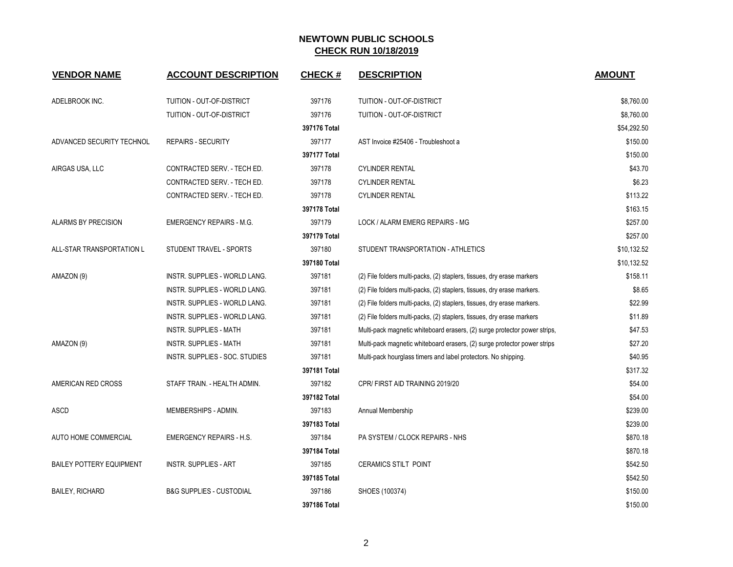| <b>VENDOR NAME</b>              | <b>ACCOUNT DESCRIPTION</b>           | <b>CHECK#</b> | <b>DESCRIPTION</b>                                                        | <b>AMOUNT</b> |
|---------------------------------|--------------------------------------|---------------|---------------------------------------------------------------------------|---------------|
| ADELBROOK INC.                  | TUITION - OUT-OF-DISTRICT            | 397176        | TUITION - OUT-OF-DISTRICT                                                 | \$8,760.00    |
|                                 | TUITION - OUT-OF-DISTRICT            | 397176        | TUITION - OUT-OF-DISTRICT                                                 | \$8,760.00    |
|                                 |                                      | 397176 Total  |                                                                           | \$54,292.50   |
| ADVANCED SECURITY TECHNOL       | <b>REPAIRS - SECURITY</b>            | 397177        | AST Invoice #25406 - Troubleshoot a                                       | \$150.00      |
|                                 |                                      | 397177 Total  |                                                                           | \$150.00      |
| AIRGAS USA, LLC                 | CONTRACTED SERV. - TECH ED.          | 397178        | <b>CYLINDER RENTAL</b>                                                    | \$43.70       |
|                                 | CONTRACTED SERV. - TECH ED.          | 397178        | <b>CYLINDER RENTAL</b>                                                    | \$6.23        |
|                                 | CONTRACTED SERV. - TECH ED.          | 397178        | <b>CYLINDER RENTAL</b>                                                    | \$113.22      |
|                                 |                                      | 397178 Total  |                                                                           | \$163.15      |
| <b>ALARMS BY PRECISION</b>      | <b>EMERGENCY REPAIRS - M.G.</b>      | 397179        | LOCK / ALARM EMERG REPAIRS - MG                                           | \$257.00      |
|                                 |                                      | 397179 Total  |                                                                           | \$257.00      |
| ALL-STAR TRANSPORTATION L       | STUDENT TRAVEL - SPORTS              | 397180        | STUDENT TRANSPORTATION - ATHLETICS                                        | \$10,132.52   |
|                                 |                                      | 397180 Total  |                                                                           | \$10,132.52   |
| AMAZON (9)                      | INSTR. SUPPLIES - WORLD LANG.        | 397181        | (2) File folders multi-packs, (2) staplers, tissues, dry erase markers    | \$158.11      |
|                                 | <b>INSTR. SUPPLIES - WORLD LANG.</b> | 397181        | (2) File folders multi-packs, (2) staplers, tissues, dry erase markers.   | \$8.65        |
|                                 | INSTR. SUPPLIES - WORLD LANG.        | 397181        | (2) File folders multi-packs, (2) staplers, tissues, dry erase markers.   | \$22.99       |
|                                 | <b>INSTR. SUPPLIES - WORLD LANG.</b> | 397181        | (2) File folders multi-packs, (2) staplers, tissues, dry erase markers    | \$11.89       |
|                                 | <b>INSTR. SUPPLIES - MATH</b>        | 397181        | Multi-pack magnetic whiteboard erasers, (2) surge protector power strips, | \$47.53       |
| AMAZON (9)                      | <b>INSTR. SUPPLIES - MATH</b>        | 397181        | Multi-pack magnetic whiteboard erasers, (2) surge protector power strips  | \$27.20       |
|                                 | INSTR. SUPPLIES - SOC. STUDIES       | 397181        | Multi-pack hourglass timers and label protectors. No shipping.            | \$40.95       |
|                                 |                                      | 397181 Total  |                                                                           | \$317.32      |
| AMERICAN RED CROSS              | STAFF TRAIN. - HEALTH ADMIN.         | 397182        | CPR/FIRST AID TRAINING 2019/20                                            | \$54.00       |
|                                 |                                      | 397182 Total  |                                                                           | \$54.00       |
| <b>ASCD</b>                     | MEMBERSHIPS - ADMIN.                 | 397183        | Annual Membership                                                         | \$239.00      |
|                                 |                                      | 397183 Total  |                                                                           | \$239.00      |
| AUTO HOME COMMERCIAL            | <b>EMERGENCY REPAIRS - H.S.</b>      | 397184        | PA SYSTEM / CLOCK REPAIRS - NHS                                           | \$870.18      |
|                                 |                                      | 397184 Total  |                                                                           | \$870.18      |
| <b>BAILEY POTTERY EQUIPMENT</b> | <b>INSTR. SUPPLIES - ART</b>         | 397185        | <b>CERAMICS STILT POINT</b>                                               | \$542.50      |
|                                 |                                      | 397185 Total  |                                                                           | \$542.50      |
| <b>BAILEY, RICHARD</b>          | <b>B&amp;G SUPPLIES - CUSTODIAL</b>  | 397186        | SHOES (100374)                                                            | \$150.00      |
|                                 |                                      | 397186 Total  |                                                                           | \$150.00      |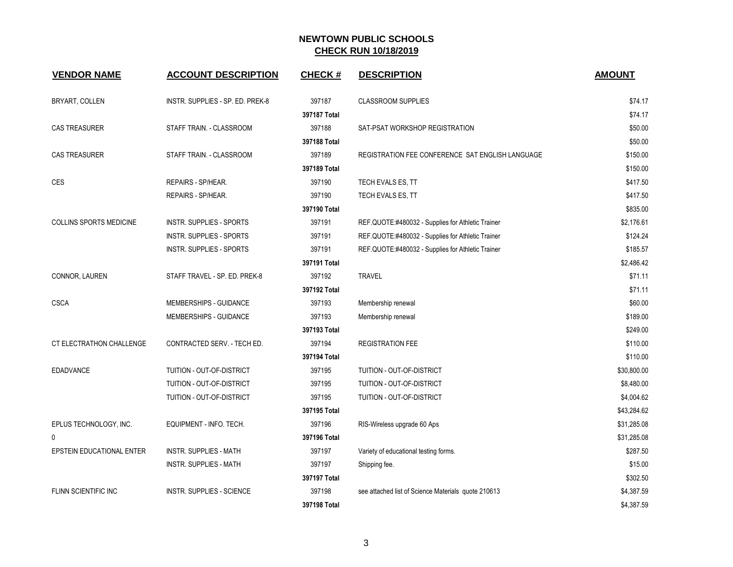| <b>VENDOR NAME</b>             | <b>ACCOUNT DESCRIPTION</b>       | <b>CHECK#</b> | <b>DESCRIPTION</b>                                  | <b>AMOUNT</b> |
|--------------------------------|----------------------------------|---------------|-----------------------------------------------------|---------------|
| BRYART, COLLEN                 | INSTR. SUPPLIES - SP. ED. PREK-8 | 397187        | <b>CLASSROOM SUPPLIES</b>                           | \$74.17       |
|                                |                                  | 397187 Total  |                                                     | \$74.17       |
| <b>CAS TREASURER</b>           | STAFF TRAIN. - CLASSROOM         | 397188        | SAT-PSAT WORKSHOP REGISTRATION                      | \$50.00       |
|                                |                                  | 397188 Total  |                                                     | \$50.00       |
| <b>CAS TREASURER</b>           | STAFF TRAIN. - CLASSROOM         | 397189        | REGISTRATION FEE CONFERENCE SAT ENGLISH LANGUAGE    | \$150.00      |
|                                |                                  | 397189 Total  |                                                     | \$150.00      |
| CES                            | REPAIRS - SP/HEAR.               | 397190        | TECH EVALS ES, TT                                   | \$417.50      |
|                                | REPAIRS - SP/HEAR.               | 397190        | TECH EVALS ES, TT                                   | \$417.50      |
|                                |                                  | 397190 Total  |                                                     | \$835.00      |
| <b>COLLINS SPORTS MEDICINE</b> | INSTR. SUPPLIES - SPORTS         | 397191        | REF.QUOTE:#480032 - Supplies for Athletic Trainer   | \$2,176.61    |
|                                | <b>INSTR. SUPPLIES - SPORTS</b>  | 397191        | REF.QUOTE:#480032 - Supplies for Athletic Trainer   | \$124.24      |
|                                | INSTR. SUPPLIES - SPORTS         | 397191        | REF.QUOTE:#480032 - Supplies for Athletic Trainer   | \$185.57      |
|                                |                                  | 397191 Total  |                                                     | \$2,486.42    |
| CONNOR, LAUREN                 | STAFF TRAVEL - SP. ED. PREK-8    | 397192        | <b>TRAVEL</b>                                       | \$71.11       |
|                                |                                  | 397192 Total  |                                                     | \$71.11       |
| <b>CSCA</b>                    | MEMBERSHIPS - GUIDANCE           | 397193        | Membership renewal                                  | \$60.00       |
|                                | MEMBERSHIPS - GUIDANCE           | 397193        | Membership renewal                                  | \$189.00      |
|                                |                                  | 397193 Total  |                                                     | \$249.00      |
| CT ELECTRATHON CHALLENGE       | CONTRACTED SERV. - TECH ED.      | 397194        | <b>REGISTRATION FEE</b>                             | \$110.00      |
|                                |                                  | 397194 Total  |                                                     | \$110.00      |
| <b>EDADVANCE</b>               | TUITION - OUT-OF-DISTRICT        | 397195        | TUITION - OUT-OF-DISTRICT                           | \$30,800.00   |
|                                | TUITION - OUT-OF-DISTRICT        | 397195        | TUITION - OUT-OF-DISTRICT                           | \$8,480.00    |
|                                | TUITION - OUT-OF-DISTRICT        | 397195        | TUITION - OUT-OF-DISTRICT                           | \$4,004.62    |
|                                |                                  | 397195 Total  |                                                     | \$43,284.62   |
| EPLUS TECHNOLOGY, INC.         | EQUIPMENT - INFO. TECH.          | 397196        | RIS-Wireless upgrade 60 Aps                         | \$31,285.08   |
| 0                              |                                  | 397196 Total  |                                                     | \$31,285.08   |
| EPSTEIN EDUCATIONAL ENTER      | <b>INSTR. SUPPLIES - MATH</b>    | 397197        | Variety of educational testing forms.               | \$287.50      |
|                                | INSTR. SUPPLIES - MATH           | 397197        | Shipping fee.                                       | \$15.00       |
|                                |                                  | 397197 Total  |                                                     | \$302.50      |
| FLINN SCIENTIFIC INC           | <b>INSTR. SUPPLIES - SCIENCE</b> | 397198        | see attached list of Science Materials quote 210613 | \$4,387.59    |
|                                |                                  | 397198 Total  |                                                     | \$4,387.59    |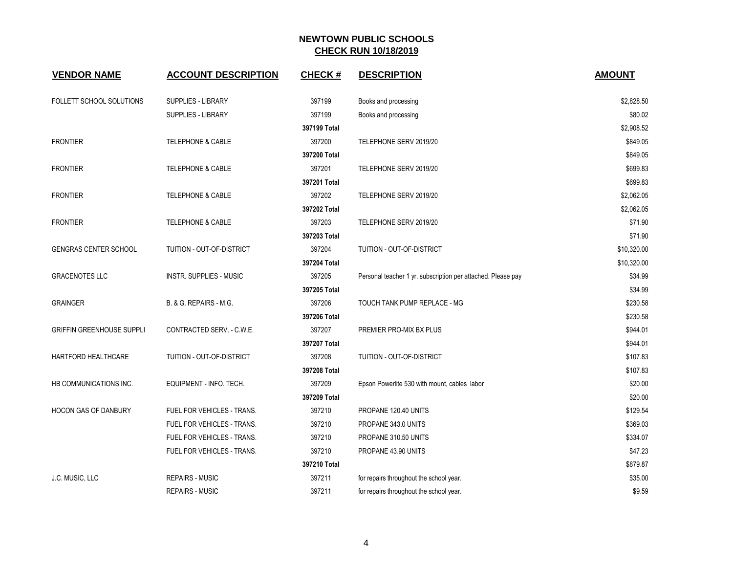| <b>VENDOR NAME</b>               | <b>ACCOUNT DESCRIPTION</b>     | <b>CHECK#</b> | <b>DESCRIPTION</b>                                           | <b>AMOUNT</b> |
|----------------------------------|--------------------------------|---------------|--------------------------------------------------------------|---------------|
| FOLLETT SCHOOL SOLUTIONS         | <b>SUPPLIES - LIBRARY</b>      | 397199        | Books and processing                                         | \$2,828.50    |
|                                  | <b>SUPPLIES - LIBRARY</b>      | 397199        | Books and processing                                         | \$80.02       |
|                                  |                                | 397199 Total  |                                                              | \$2,908.52    |
| <b>FRONTIER</b>                  | <b>TELEPHONE &amp; CABLE</b>   | 397200        | TELEPHONE SERV 2019/20                                       | \$849.05      |
|                                  |                                | 397200 Total  |                                                              | \$849.05      |
| <b>FRONTIER</b>                  | <b>TELEPHONE &amp; CABLE</b>   | 397201        | TELEPHONE SERV 2019/20                                       | \$699.83      |
|                                  |                                | 397201 Total  |                                                              | \$699.83      |
| <b>FRONTIER</b>                  | TELEPHONE & CABLE              | 397202        | TELEPHONE SERV 2019/20                                       | \$2,062.05    |
|                                  |                                | 397202 Total  |                                                              | \$2,062.05    |
| <b>FRONTIER</b>                  | TELEPHONE & CABLE              | 397203        | TELEPHONE SERV 2019/20                                       | \$71.90       |
|                                  |                                | 397203 Total  |                                                              | \$71.90       |
| <b>GENGRAS CENTER SCHOOL</b>     | TUITION - OUT-OF-DISTRICT      | 397204        | TUITION - OUT-OF-DISTRICT                                    | \$10,320.00   |
|                                  |                                | 397204 Total  |                                                              | \$10,320.00   |
| <b>GRACENOTES LLC</b>            | <b>INSTR. SUPPLIES - MUSIC</b> | 397205        | Personal teacher 1 yr. subscription per attached. Please pay | \$34.99       |
|                                  |                                | 397205 Total  |                                                              | \$34.99       |
| <b>GRAINGER</b>                  | B. & G. REPAIRS - M.G.         | 397206        | TOUCH TANK PUMP REPLACE - MG                                 | \$230.58      |
|                                  |                                | 397206 Total  |                                                              | \$230.58      |
| <b>GRIFFIN GREENHOUSE SUPPLI</b> | CONTRACTED SERV. - C.W.E.      | 397207        | PREMIER PRO-MIX BX PLUS                                      | \$944.01      |
|                                  |                                | 397207 Total  |                                                              | \$944.01      |
| HARTFORD HEALTHCARE              | TUITION - OUT-OF-DISTRICT      | 397208        | TUITION - OUT-OF-DISTRICT                                    | \$107.83      |
|                                  |                                | 397208 Total  |                                                              | \$107.83      |
| HB COMMUNICATIONS INC.           | EQUIPMENT - INFO. TECH.        | 397209        | Epson Powerlite 530 with mount, cables labor                 | \$20.00       |
|                                  |                                | 397209 Total  |                                                              | \$20.00       |
| <b>HOCON GAS OF DANBURY</b>      | FUEL FOR VEHICLES - TRANS.     | 397210        | PROPANE 120.40 UNITS                                         | \$129.54      |
|                                  | FUEL FOR VEHICLES - TRANS.     | 397210        | PROPANE 343.0 UNITS                                          | \$369.03      |
|                                  | FUEL FOR VEHICLES - TRANS.     | 397210        | PROPANE 310.50 UNITS                                         | \$334.07      |
|                                  | FUEL FOR VEHICLES - TRANS.     | 397210        | PROPANE 43.90 UNITS                                          | \$47.23       |
|                                  |                                | 397210 Total  |                                                              | \$879.87      |
| J.C. MUSIC, LLC                  | <b>REPAIRS - MUSIC</b>         | 397211        | for repairs throughout the school year.                      | \$35.00       |
|                                  | <b>REPAIRS - MUSIC</b>         | 397211        | for repairs throughout the school year.                      | \$9.59        |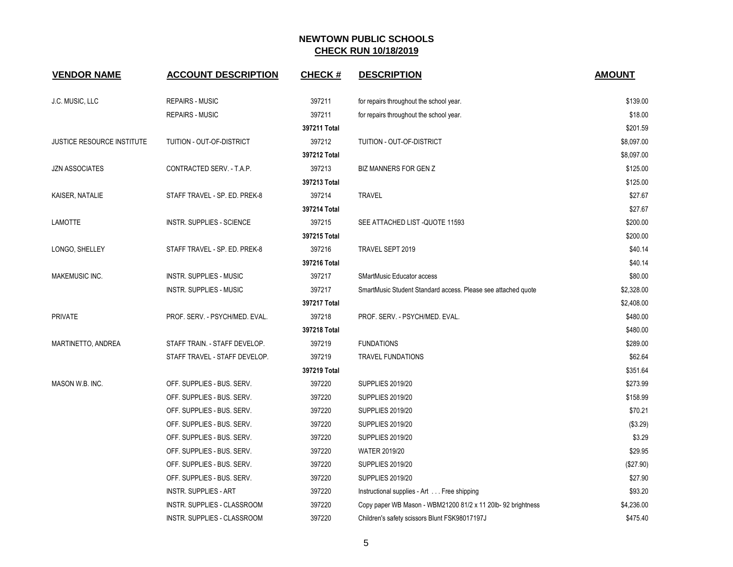| <b>VENDOR NAME</b>                | <b>ACCOUNT DESCRIPTION</b>     | <b>CHECK#</b> | <b>DESCRIPTION</b>                                            | <b>AMOUNT</b> |
|-----------------------------------|--------------------------------|---------------|---------------------------------------------------------------|---------------|
| J.C. MUSIC, LLC                   | <b>REPAIRS - MUSIC</b>         | 397211        | for repairs throughout the school year.                       | \$139.00      |
|                                   | <b>REPAIRS - MUSIC</b>         | 397211        | for repairs throughout the school year.                       | \$18.00       |
|                                   |                                | 397211 Total  |                                                               | \$201.59      |
| <b>JUSTICE RESOURCE INSTITUTE</b> | TUITION - OUT-OF-DISTRICT      | 397212        | TUITION - OUT-OF-DISTRICT                                     | \$8,097.00    |
|                                   |                                | 397212 Total  |                                                               | \$8,097.00    |
| <b>JZN ASSOCIATES</b>             | CONTRACTED SERV. - T.A.P.      | 397213        | BIZ MANNERS FOR GEN Z                                         | \$125.00      |
|                                   |                                | 397213 Total  |                                                               | \$125.00      |
| KAISER, NATALIE                   | STAFF TRAVEL - SP. ED. PREK-8  | 397214        | <b>TRAVEL</b>                                                 | \$27.67       |
|                                   |                                | 397214 Total  |                                                               | \$27.67       |
| LAMOTTE                           | INSTR. SUPPLIES - SCIENCE      | 397215        | SEE ATTACHED LIST -QUOTE 11593                                | \$200.00      |
|                                   |                                | 397215 Total  |                                                               | \$200.00      |
| LONGO, SHELLEY                    | STAFF TRAVEL - SP. ED. PREK-8  | 397216        | TRAVEL SEPT 2019                                              | \$40.14       |
|                                   |                                | 397216 Total  |                                                               | \$40.14       |
| MAKEMUSIC INC.                    | <b>INSTR. SUPPLIES - MUSIC</b> | 397217        | SMartMusic Educator access                                    | \$80.00       |
|                                   | <b>INSTR. SUPPLIES - MUSIC</b> | 397217        | SmartMusic Student Standard access. Please see attached quote | \$2,328.00    |
|                                   |                                | 397217 Total  |                                                               | \$2,408.00    |
| <b>PRIVATE</b>                    | PROF. SERV. - PSYCH/MED. EVAL. | 397218        | PROF. SERV. - PSYCH/MED. EVAL.                                | \$480.00      |
|                                   |                                | 397218 Total  |                                                               | \$480.00      |
| MARTINETTO, ANDREA                | STAFF TRAIN. - STAFF DEVELOP.  | 397219        | <b>FUNDATIONS</b>                                             | \$289.00      |
|                                   | STAFF TRAVEL - STAFF DEVELOP.  | 397219        | <b>TRAVEL FUNDATIONS</b>                                      | \$62.64       |
|                                   |                                | 397219 Total  |                                                               | \$351.64      |
| MASON W.B. INC.                   | OFF. SUPPLIES - BUS. SERV.     | 397220        | <b>SUPPLIES 2019/20</b>                                       | \$273.99      |
|                                   | OFF. SUPPLIES - BUS. SERV.     | 397220        | <b>SUPPLIES 2019/20</b>                                       | \$158.99      |
|                                   | OFF. SUPPLIES - BUS. SERV.     | 397220        | <b>SUPPLIES 2019/20</b>                                       | \$70.21       |
|                                   | OFF. SUPPLIES - BUS. SERV.     | 397220        | <b>SUPPLIES 2019/20</b>                                       | (\$3.29)      |
|                                   | OFF. SUPPLIES - BUS. SERV.     | 397220        | <b>SUPPLIES 2019/20</b>                                       | \$3.29        |
|                                   | OFF. SUPPLIES - BUS. SERV.     | 397220        | <b>WATER 2019/20</b>                                          | \$29.95       |
|                                   | OFF. SUPPLIES - BUS. SERV.     | 397220        | <b>SUPPLIES 2019/20</b>                                       | (\$27.90)     |
|                                   | OFF. SUPPLIES - BUS. SERV.     | 397220        | <b>SUPPLIES 2019/20</b>                                       | \$27.90       |
|                                   | <b>INSTR. SUPPLIES - ART</b>   | 397220        | Instructional supplies - Art Free shipping                    | \$93.20       |
|                                   | INSTR. SUPPLIES - CLASSROOM    | 397220        | Copy paper WB Mason - WBM21200 81/2 x 11 20lb- 92 brightness  | \$4,236.00    |
|                                   | INSTR. SUPPLIES - CLASSROOM    | 397220        | Children's safety scissors Blunt FSK98017197J                 | \$475.40      |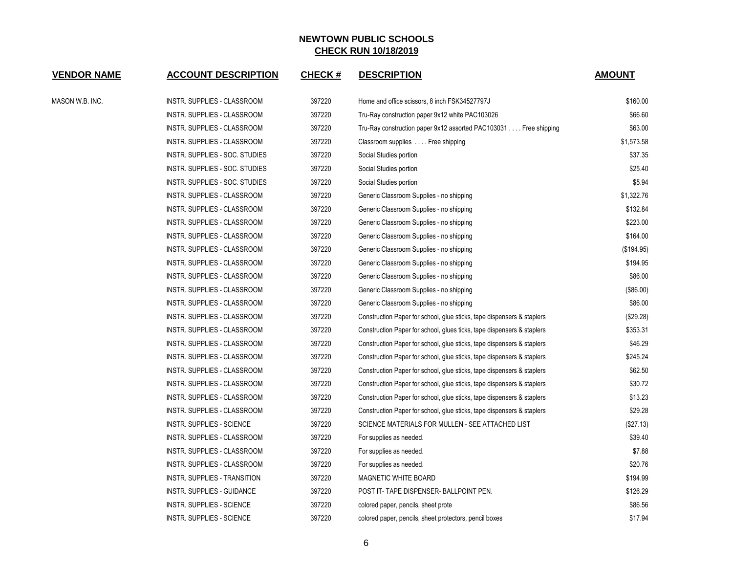| <b>VENDOR NAME</b> | <b>ACCOUNT DESCRIPTION</b>       | <b>CHECK#</b> | <b>DESCRIPTION</b>                                                     | <b>AMOUNT</b> |
|--------------------|----------------------------------|---------------|------------------------------------------------------------------------|---------------|
| MASON W.B. INC.    | INSTR. SUPPLIES - CLASSROOM      | 397220        | Home and office scissors, 8 inch FSK34527797J                          | \$160.00      |
|                    | INSTR. SUPPLIES - CLASSROOM      | 397220        | Tru-Ray construction paper 9x12 white PAC103026                        | \$66.60       |
|                    | INSTR. SUPPLIES - CLASSROOM      | 397220        | Tru-Ray construction paper 9x12 assorted PAC103031 Free shipping       | \$63.00       |
|                    | INSTR. SUPPLIES - CLASSROOM      | 397220        | Classroom supplies  Free shipping                                      | \$1,573.58    |
|                    | INSTR. SUPPLIES - SOC. STUDIES   | 397220        | Social Studies portion                                                 | \$37.35       |
|                    | INSTR. SUPPLIES - SOC. STUDIES   | 397220        | Social Studies portion                                                 | \$25.40       |
|                    | INSTR. SUPPLIES - SOC. STUDIES   | 397220        | Social Studies portion                                                 | \$5.94        |
|                    | INSTR. SUPPLIES - CLASSROOM      | 397220        | Generic Classroom Supplies - no shipping                               | \$1,322.76    |
|                    | INSTR. SUPPLIES - CLASSROOM      | 397220        | Generic Classroom Supplies - no shipping                               | \$132.84      |
|                    | INSTR. SUPPLIES - CLASSROOM      | 397220        | Generic Classroom Supplies - no shipping                               | \$223.00      |
|                    | INSTR. SUPPLIES - CLASSROOM      | 397220        | Generic Classroom Supplies - no shipping                               | \$164.00      |
|                    | INSTR. SUPPLIES - CLASSROOM      | 397220        | Generic Classroom Supplies - no shipping                               | (\$194.95)    |
|                    | INSTR. SUPPLIES - CLASSROOM      | 397220        | Generic Classroom Supplies - no shipping                               | \$194.95      |
|                    | INSTR. SUPPLIES - CLASSROOM      | 397220        | Generic Classroom Supplies - no shipping                               | \$86.00       |
|                    | INSTR. SUPPLIES - CLASSROOM      | 397220        | Generic Classroom Supplies - no shipping                               | (\$86.00)     |
|                    | INSTR. SUPPLIES - CLASSROOM      | 397220        | Generic Classroom Supplies - no shipping                               | \$86.00       |
|                    | INSTR. SUPPLIES - CLASSROOM      | 397220        | Construction Paper for school, glue sticks, tape dispensers & staplers | (\$29.28)     |
|                    | INSTR. SUPPLIES - CLASSROOM      | 397220        | Construction Paper for school, glues ticks, tape dispensers & staplers | \$353.31      |
|                    | INSTR. SUPPLIES - CLASSROOM      | 397220        | Construction Paper for school, glue sticks, tape dispensers & staplers | \$46.29       |
|                    | INSTR. SUPPLIES - CLASSROOM      | 397220        | Construction Paper for school, glue sticks, tape dispensers & staplers | \$245.24      |
|                    | INSTR. SUPPLIES - CLASSROOM      | 397220        | Construction Paper for school, glue sticks, tape dispensers & staplers | \$62.50       |
|                    | INSTR. SUPPLIES - CLASSROOM      | 397220        | Construction Paper for school, glue sticks, tape dispensers & staplers | \$30.72       |
|                    | INSTR. SUPPLIES - CLASSROOM      | 397220        | Construction Paper for school, glue sticks, tape dispensers & staplers | \$13.23       |
|                    | INSTR. SUPPLIES - CLASSROOM      | 397220        | Construction Paper for school, glue sticks, tape dispensers & staplers | \$29.28       |
|                    | INSTR. SUPPLIES - SCIENCE        | 397220        | SCIENCE MATERIALS FOR MULLEN - SEE ATTACHED LIST                       | (\$27.13)     |
|                    | INSTR. SUPPLIES - CLASSROOM      | 397220        | For supplies as needed.                                                | \$39.40       |
|                    | INSTR. SUPPLIES - CLASSROOM      | 397220        | For supplies as needed.                                                | \$7.88        |
|                    | INSTR. SUPPLIES - CLASSROOM      | 397220        | For supplies as needed.                                                | \$20.76       |
|                    | INSTR. SUPPLIES - TRANSITION     | 397220        | <b>MAGNETIC WHITE BOARD</b>                                            | \$194.99      |
|                    | INSTR. SUPPLIES - GUIDANCE       | 397220        | POST IT- TAPE DISPENSER- BALLPOINT PEN.                                | \$126.29      |
|                    | <b>INSTR. SUPPLIES - SCIENCE</b> | 397220        | colored paper, pencils, sheet prote                                    | \$86.56       |
|                    | <b>INSTR. SUPPLIES - SCIENCE</b> | 397220        | colored paper, pencils, sheet protectors, pencil boxes                 | \$17.94       |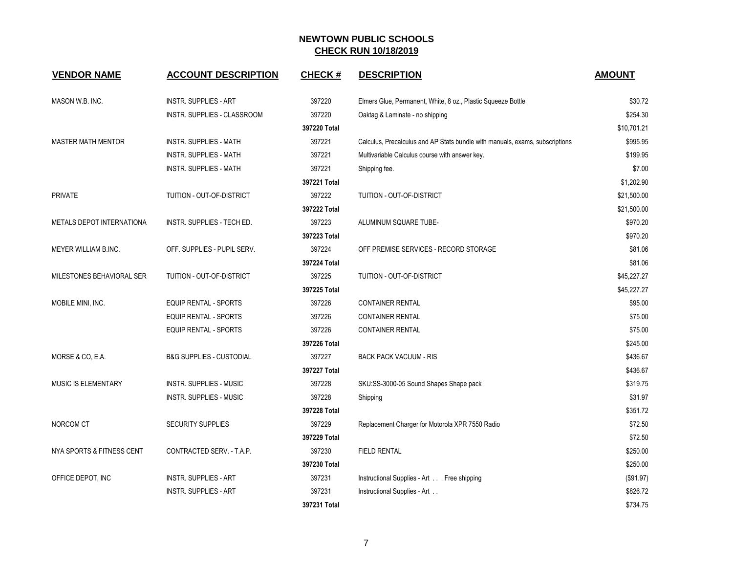| <b>VENDOR NAME</b>               | <b>ACCOUNT DESCRIPTION</b>          | <b>CHECK#</b> | <b>DESCRIPTION</b>                                                           | <b>AMOUNT</b> |
|----------------------------------|-------------------------------------|---------------|------------------------------------------------------------------------------|---------------|
| MASON W.B. INC.                  | <b>INSTR. SUPPLIES - ART</b>        | 397220        | Elmers Glue, Permanent, White, 8 oz., Plastic Squeeze Bottle                 | \$30.72       |
|                                  | INSTR. SUPPLIES - CLASSROOM         | 397220        | Oaktag & Laminate - no shipping                                              | \$254.30      |
|                                  |                                     | 397220 Total  |                                                                              | \$10,701.21   |
| <b>MASTER MATH MENTOR</b>        | <b>INSTR. SUPPLIES - MATH</b>       | 397221        | Calculus, Precalculus and AP Stats bundle with manuals, exams, subscriptions | \$995.95      |
|                                  | <b>INSTR. SUPPLIES - MATH</b>       | 397221        | Multivariable Calculus course with answer key.                               | \$199.95      |
|                                  | <b>INSTR. SUPPLIES - MATH</b>       | 397221        | Shipping fee.                                                                | \$7.00        |
|                                  |                                     | 397221 Total  |                                                                              | \$1,202.90    |
| <b>PRIVATE</b>                   | TUITION - OUT-OF-DISTRICT           | 397222        | TUITION - OUT-OF-DISTRICT                                                    | \$21,500.00   |
|                                  |                                     | 397222 Total  |                                                                              | \$21,500.00   |
| <b>METALS DEPOT INTERNATIONA</b> | INSTR. SUPPLIES - TECH ED.          | 397223        | ALUMINUM SQUARE TUBE-                                                        | \$970.20      |
|                                  |                                     | 397223 Total  |                                                                              | \$970.20      |
| MEYER WILLIAM B.INC.             | OFF. SUPPLIES - PUPIL SERV.         | 397224        | OFF PREMISE SERVICES - RECORD STORAGE                                        | \$81.06       |
|                                  |                                     | 397224 Total  |                                                                              | \$81.06       |
| MILESTONES BEHAVIORAL SER        | TUITION - OUT-OF-DISTRICT           | 397225        | TUITION - OUT-OF-DISTRICT                                                    | \$45,227.27   |
|                                  |                                     | 397225 Total  |                                                                              | \$45,227.27   |
| MOBILE MINI, INC.                | <b>EQUIP RENTAL - SPORTS</b>        | 397226        | <b>CONTAINER RENTAL</b>                                                      | \$95.00       |
|                                  | EQUIP RENTAL - SPORTS               | 397226        | <b>CONTAINER RENTAL</b>                                                      | \$75.00       |
|                                  | <b>EQUIP RENTAL - SPORTS</b>        | 397226        | <b>CONTAINER RENTAL</b>                                                      | \$75.00       |
|                                  |                                     | 397226 Total  |                                                                              | \$245.00      |
| MORSE & CO, E.A.                 | <b>B&amp;G SUPPLIES - CUSTODIAL</b> | 397227        | <b>BACK PACK VACUUM - RIS</b>                                                | \$436.67      |
|                                  |                                     | 397227 Total  |                                                                              | \$436.67      |
| MUSIC IS ELEMENTARY              | <b>INSTR. SUPPLIES - MUSIC</b>      | 397228        | SKU:SS-3000-05 Sound Shapes Shape pack                                       | \$319.75      |
|                                  | <b>INSTR. SUPPLIES - MUSIC</b>      | 397228        | Shipping                                                                     | \$31.97       |
|                                  |                                     | 397228 Total  |                                                                              | \$351.72      |
| NORCOM CT                        | <b>SECURITY SUPPLIES</b>            | 397229        | Replacement Charger for Motorola XPR 7550 Radio                              | \$72.50       |
|                                  |                                     | 397229 Total  |                                                                              | \$72.50       |
| NYA SPORTS & FITNESS CENT        | CONTRACTED SERV. - T.A.P.           | 397230        | <b>FIELD RENTAL</b>                                                          | \$250.00      |
|                                  |                                     | 397230 Total  |                                                                              | \$250.00      |
| OFFICE DEPOT, INC                | <b>INSTR. SUPPLIES - ART</b>        | 397231        | Instructional Supplies - Art Free shipping                                   | (\$91.97)     |
|                                  | <b>INSTR. SUPPLIES - ART</b>        | 397231        | Instructional Supplies - Art                                                 | \$826.72      |
|                                  |                                     | 397231 Total  |                                                                              | \$734.75      |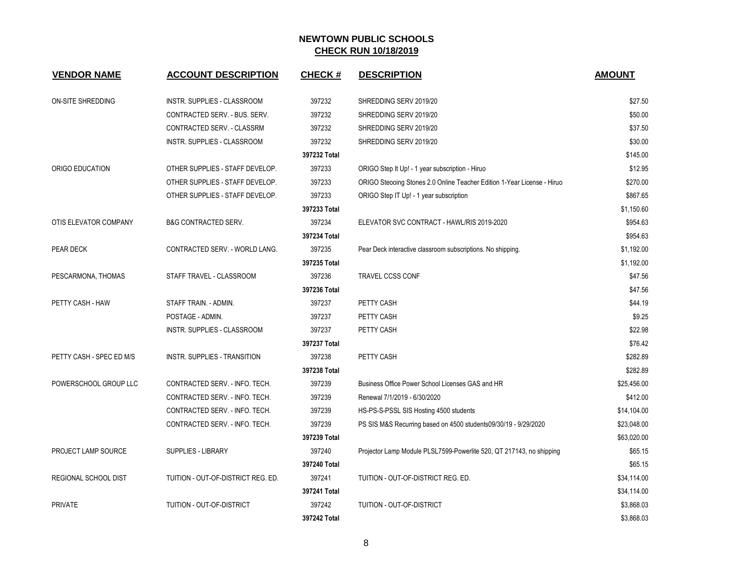| <b>VENDOR NAME</b>       | <b>ACCOUNT DESCRIPTION</b>         | <b>CHECK#</b> | <b>DESCRIPTION</b>                                                      | <b>AMOUNT</b> |
|--------------------------|------------------------------------|---------------|-------------------------------------------------------------------------|---------------|
| ON-SITE SHREDDING        | INSTR. SUPPLIES - CLASSROOM        | 397232        | SHREDDING SERV 2019/20                                                  | \$27.50       |
|                          | CONTRACTED SERV. - BUS. SERV.      | 397232        | SHREDDING SERV 2019/20                                                  | \$50.00       |
|                          | CONTRACTED SERV. - CLASSRM         | 397232        | SHREDDING SERV 2019/20                                                  | \$37.50       |
|                          | INSTR. SUPPLIES - CLASSROOM        | 397232        | SHREDDING SERV 2019/20                                                  | \$30.00       |
|                          |                                    | 397232 Total  |                                                                         | \$145.00      |
| ORIGO EDUCATION          | OTHER SUPPLIES - STAFF DEVELOP.    | 397233        | ORIGO Step It Up! - 1 year subscription - Hiruo                         | \$12.95       |
|                          | OTHER SUPPLIES - STAFF DEVELOP.    | 397233        | ORIGO Steooing Stones 2.0 Online Teacher Edition 1-Year License - Hiruo | \$270.00      |
|                          | OTHER SUPPLIES - STAFF DEVELOP.    | 397233        | ORIGO Step IT Up! - 1 year subscription                                 | \$867.65      |
|                          |                                    | 397233 Total  |                                                                         | \$1,150.60    |
| OTIS ELEVATOR COMPANY    | <b>B&amp;G CONTRACTED SERV.</b>    | 397234        | ELEVATOR SVC CONTRACT - HAWL/RIS 2019-2020                              | \$954.63      |
|                          |                                    | 397234 Total  |                                                                         | \$954.63      |
| PEAR DECK                | CONTRACTED SERV. - WORLD LANG.     | 397235        | Pear Deck interactive classroom subscriptions. No shipping.             | \$1,192.00    |
|                          |                                    | 397235 Total  |                                                                         | \$1,192.00    |
| PESCARMONA, THOMAS       | STAFF TRAVEL - CLASSROOM           | 397236        | TRAVEL CCSS CONF                                                        | \$47.56       |
|                          |                                    | 397236 Total  |                                                                         | \$47.56       |
| PETTY CASH - HAW         | STAFF TRAIN. - ADMIN.              | 397237        | PETTY CASH                                                              | \$44.19       |
|                          | POSTAGE - ADMIN.                   | 397237        | PETTY CASH                                                              | \$9.25        |
|                          | INSTR. SUPPLIES - CLASSROOM        | 397237        | PETTY CASH                                                              | \$22.98       |
|                          |                                    | 397237 Total  |                                                                         | \$76.42       |
| PETTY CASH - SPEC ED M/S | INSTR. SUPPLIES - TRANSITION       | 397238        | PETTY CASH                                                              | \$282.89      |
|                          |                                    | 397238 Total  |                                                                         | \$282.89      |
| POWERSCHOOL GROUP LLC    | CONTRACTED SERV. - INFO. TECH.     | 397239        | Business Office Power School Licenses GAS and HR                        | \$25,456.00   |
|                          | CONTRACTED SERV. - INFO. TECH.     | 397239        | Renewal 7/1/2019 - 6/30/2020                                            | \$412.00      |
|                          | CONTRACTED SERV. - INFO. TECH.     | 397239        | HS-PS-S-PSSL SIS Hosting 4500 students                                  | \$14,104.00   |
|                          | CONTRACTED SERV. - INFO. TECH.     | 397239        | PS SIS M&S Recurring based on 4500 students09/30/19 - 9/29/2020         | \$23,048.00   |
|                          |                                    | 397239 Total  |                                                                         | \$63,020.00   |
| PROJECT LAMP SOURCE      | <b>SUPPLIES - LIBRARY</b>          | 397240        | Projector Lamp Module PLSL7599-Powerlite 520, QT 217143, no shipping    | \$65.15       |
|                          |                                    | 397240 Total  |                                                                         | \$65.15       |
| REGIONAL SCHOOL DIST     | TUITION - OUT-OF-DISTRICT REG. ED. | 397241        | TUITION - OUT-OF-DISTRICT REG. ED.                                      | \$34,114.00   |
|                          |                                    | 397241 Total  |                                                                         | \$34,114.00   |
| <b>PRIVATE</b>           | TUITION - OUT-OF-DISTRICT          | 397242        | TUITION - OUT-OF-DISTRICT                                               | \$3,868.03    |
|                          |                                    | 397242 Total  |                                                                         | \$3,868.03    |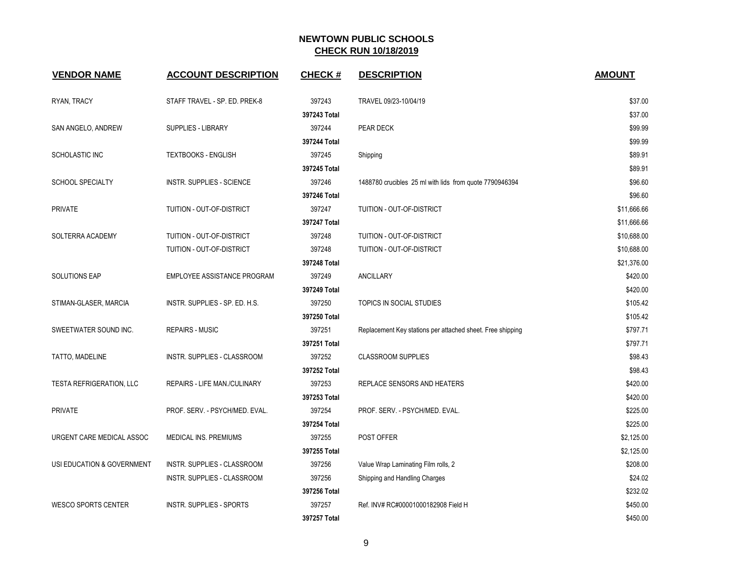| <b>VENDOR NAME</b>              | <b>ACCOUNT DESCRIPTION</b>      | <b>CHECK#</b> | <b>DESCRIPTION</b>                                         | <b>AMOUNT</b> |
|---------------------------------|---------------------------------|---------------|------------------------------------------------------------|---------------|
| RYAN, TRACY                     | STAFF TRAVEL - SP. ED. PREK-8   | 397243        | TRAVEL 09/23-10/04/19                                      | \$37.00       |
|                                 |                                 | 397243 Total  |                                                            | \$37.00       |
| SAN ANGELO, ANDREW              | <b>SUPPLIES - LIBRARY</b>       | 397244        | PEAR DECK                                                  | \$99.99       |
|                                 |                                 | 397244 Total  |                                                            | \$99.99       |
| SCHOLASTIC INC                  | <b>TEXTBOOKS - ENGLISH</b>      | 397245        | Shipping                                                   | \$89.91       |
|                                 |                                 | 397245 Total  |                                                            | \$89.91       |
| <b>SCHOOL SPECIALTY</b>         | INSTR. SUPPLIES - SCIENCE       | 397246        | 1488780 crucibles 25 ml with lids from quote 7790946394    | \$96.60       |
|                                 |                                 | 397246 Total  |                                                            | \$96.60       |
| <b>PRIVATE</b>                  | TUITION - OUT-OF-DISTRICT       | 397247        | TUITION - OUT-OF-DISTRICT                                  | \$11,666.66   |
|                                 |                                 | 397247 Total  |                                                            | \$11,666.66   |
| SOLTERRA ACADEMY                | TUITION - OUT-OF-DISTRICT       | 397248        | TUITION - OUT-OF-DISTRICT                                  | \$10,688.00   |
|                                 | TUITION - OUT-OF-DISTRICT       | 397248        | TUITION - OUT-OF-DISTRICT                                  | \$10,688.00   |
|                                 |                                 | 397248 Total  |                                                            | \$21,376.00   |
| <b>SOLUTIONS EAP</b>            | EMPLOYEE ASSISTANCE PROGRAM     | 397249        | <b>ANCILLARY</b>                                           | \$420.00      |
|                                 |                                 | 397249 Total  |                                                            | \$420.00      |
| STIMAN-GLASER, MARCIA           | INSTR. SUPPLIES - SP. ED. H.S.  | 397250        | TOPICS IN SOCIAL STUDIES                                   | \$105.42      |
|                                 |                                 | 397250 Total  |                                                            | \$105.42      |
| SWEETWATER SOUND INC.           | <b>REPAIRS - MUSIC</b>          | 397251        | Replacement Key stations per attached sheet. Free shipping | \$797.71      |
|                                 |                                 | 397251 Total  |                                                            | \$797.71      |
| TATTO, MADELINE                 | INSTR. SUPPLIES - CLASSROOM     | 397252        | <b>CLASSROOM SUPPLIES</b>                                  | \$98.43       |
|                                 |                                 | 397252 Total  |                                                            | \$98.43       |
| <b>TESTA REFRIGERATION, LLC</b> | REPAIRS - LIFE MAN./CULINARY    | 397253        | REPLACE SENSORS AND HEATERS                                | \$420.00      |
|                                 |                                 | 397253 Total  |                                                            | \$420.00      |
| <b>PRIVATE</b>                  | PROF. SERV. - PSYCH/MED. EVAL.  | 397254        | PROF. SERV. - PSYCH/MED. EVAL.                             | \$225.00      |
|                                 |                                 | 397254 Total  |                                                            | \$225.00      |
| URGENT CARE MEDICAL ASSOC       | MEDICAL INS. PREMIUMS           | 397255        | POST OFFER                                                 | \$2,125.00    |
|                                 |                                 | 397255 Total  |                                                            | \$2,125.00    |
| USI EDUCATION & GOVERNMENT      | INSTR. SUPPLIES - CLASSROOM     | 397256        | Value Wrap Laminating Film rolls, 2                        | \$208.00      |
|                                 | INSTR. SUPPLIES - CLASSROOM     | 397256        | Shipping and Handling Charges                              | \$24.02       |
|                                 |                                 | 397256 Total  |                                                            | \$232.02      |
| <b>WESCO SPORTS CENTER</b>      | <b>INSTR. SUPPLIES - SPORTS</b> | 397257        | Ref. INV# RC#00001000182908 Field H                        | \$450.00      |
|                                 |                                 | 397257 Total  |                                                            | \$450.00      |